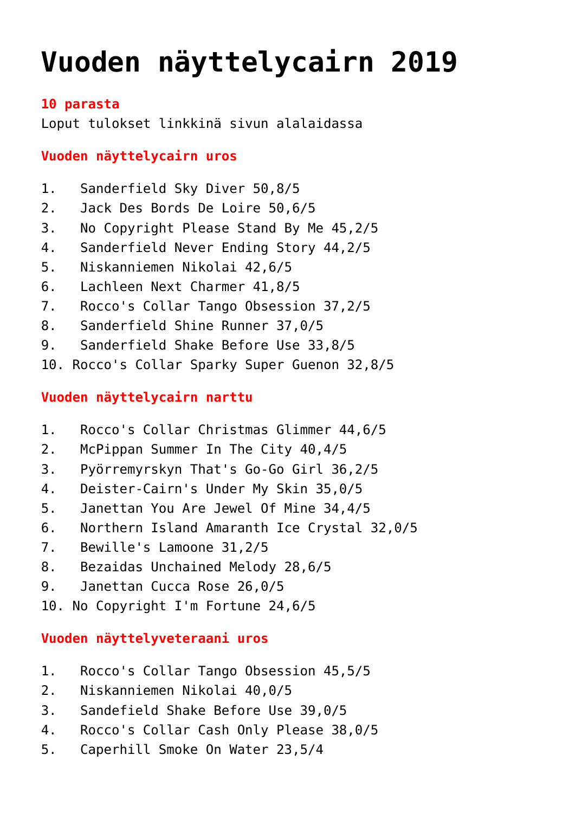# **[Vuoden näyttelycairn 2019](https://www.cairnterrierikerho.fi/vuoden-nayttelycairn-pisteet-2019/)**

#### **10 parasta**

Loput tulokset linkkinä sivun alalaidassa

### **Vuoden näyttelycairn uros**

- 1. Sanderfield Sky Diver 50,8/5
- 2. Jack Des Bords De Loire 50,6/5
- 3. No Copyright Please Stand By Me 45,2/5
- 4. Sanderfield Never Ending Story 44,2/5
- 5. Niskanniemen Nikolai 42,6/5
- 6. Lachleen Next Charmer 41,8/5
- 7. Rocco's Collar Tango Obsession 37,2/5
- 8. Sanderfield Shine Runner 37,0/5
- 9. Sanderfield Shake Before Use 33,8/5
- 10. Rocco's Collar Sparky Super Guenon 32,8/5

### **Vuoden näyttelycairn narttu**

- 1. Rocco's Collar Christmas Glimmer 44,6/5
- 2. McPippan Summer In The City 40,4/5
- 3. Pyörremyrskyn That's Go-Go Girl 36,2/5
- 4. Deister-Cairn's Under My Skin 35,0/5
- 5. Janettan You Are Jewel Of Mine 34,4/5
- 6. Northern Island Amaranth Ice Crystal 32,0/5
- 7. Bewille's Lamoone 31,2/5
- 8. Bezaidas Unchained Melody 28,6/5
- 9. Janettan Cucca Rose 26,0/5
- 10. No Copyright I'm Fortune 24,6/5

### **Vuoden näyttelyveteraani uros**

- 1. Rocco's Collar Tango Obsession 45,5/5
- 2. Niskanniemen Nikolai 40,0/5
- 3. Sandefield Shake Before Use 39,0/5
- 4. Rocco's Collar Cash Only Please 38,0/5
- 5. Caperhill Smoke On Water 23,5/4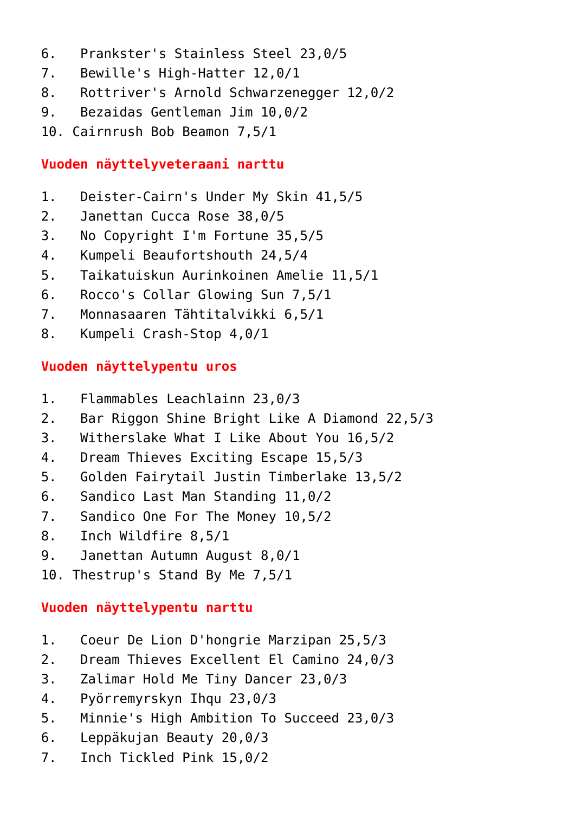- 6. Prankster's Stainless Steel 23,0/5
- 7. Bewille's High-Hatter 12,0/1
- 8. Rottriver's Arnold Schwarzenegger 12,0/2
- 9. Bezaidas Gentleman Jim 10,0/2
- 10. Cairnrush Bob Beamon 7,5/1

## **Vuoden näyttelyveteraani narttu**

- 1. Deister-Cairn's Under My Skin 41,5/5
- 2. Janettan Cucca Rose 38,0/5
- 3. No Copyright I'm Fortune 35,5/5
- 4. Kumpeli Beaufortshouth 24,5/4
- 5. Taikatuiskun Aurinkoinen Amelie 11,5/1
- 6. Rocco's Collar Glowing Sun 7,5/1
- 7. Monnasaaren Tähtitalvikki 6,5/1
- 8. Kumpeli Crash-Stop 4,0/1

# **Vuoden näyttelypentu uros**

- 1. Flammables Leachlainn 23,0/3
- 2. Bar Riggon Shine Bright Like A Diamond 22,5/3
- 3. Witherslake What I Like About You 16,5/2
- 4. Dream Thieves Exciting Escape 15,5/3
- 5. Golden Fairytail Justin Timberlake 13,5/2
- 6. Sandico Last Man Standing 11,0/2
- 7. Sandico One For The Money 10,5/2
- 8. Inch Wildfire 8,5/1
- 9. Janettan Autumn August 8,0/1
- 10. Thestrup's Stand By Me 7,5/1

## **Vuoden näyttelypentu narttu**

- 1. Coeur De Lion D'hongrie Marzipan 25,5/3
- 2. Dream Thieves Excellent El Camino 24,0/3
- 3. Zalimar Hold Me Tiny Dancer 23,0/3
- 4. Pyörremyrskyn Ihqu 23,0/3
- 5. Minnie's High Ambition To Succeed 23,0/3
- 6. Leppäkujan Beauty 20,0/3
- 7. Inch Tickled Pink 15,0/2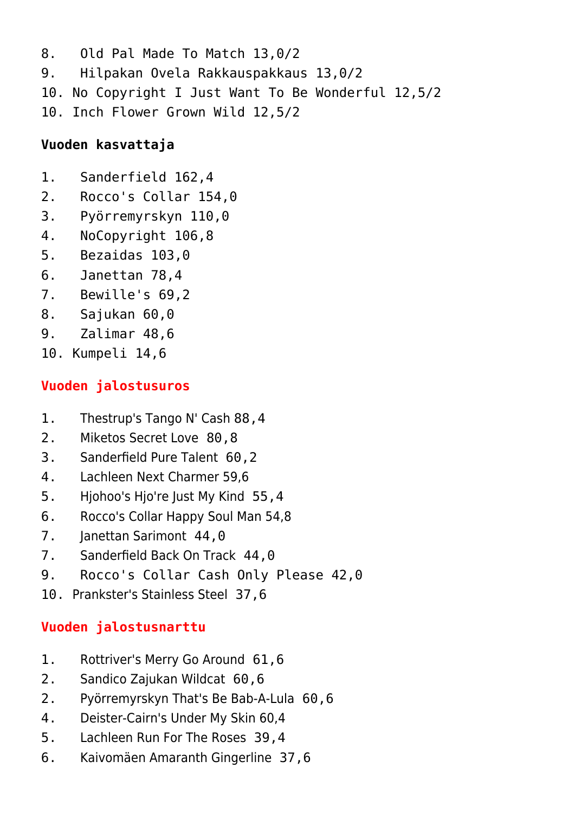8. Old Pal Made To Match 13,0/2 9. Hilpakan Ovela Rakkauspakkaus 13,0/2 10. No Copyright I Just Want To Be Wonderful 12,5/2 10. Inch Flower Grown Wild 12,5/2

## **Vuoden kasvattaja**

- 1. Sanderfield 162,4
- 2. Rocco's Collar 154,0
- 3. Pyörremyrskyn 110,0
- 4. NoCopyright 106,8
- 5. Bezaidas 103,0
- 6. Janettan 78,4
- 7. Bewille's 69,2
- 8. Sajukan 60,0
- 9. Zalimar 48,6
- 10. Kumpeli 14,6

# **Vuoden jalostusuros**

- 1. Thestrup's Tango N' Cash 88,4
- 2. Miketos Secret Love 80,8
- 3. Sanderfield Pure Talent 60,2
- 4. Lachleen Next Charmer 59,6
- 5. Hjohoo's Hjo're Just My Kind 55,4
- 6. Rocco's Collar Happy Soul Man 54,8
- 7. Janettan Sarimont 44,0
- 7. Sanderfield Back On Track 44,0
- 9. Rocco's Collar Cash Only Please 42,0
- 10. Prankster's Stainless Steel 37,6

# **Vuoden jalostusnarttu**

- 1. Rottriver's Merry Go Around 61,6
- 2. Sandico Zajukan Wildcat 60,6
- 2. Pyörremyrskyn That's Be Bab-A-Lula 60,6
- 4. Deister-Cairn's Under My Skin 60,4
- 5. Lachleen Run For The Roses 39,4
- 6. Kaivomäen Amaranth Gingerline 37,6